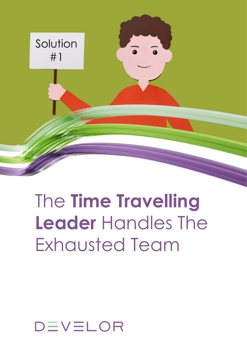

## The **Time Travelling Leader** Handles The Exhausted Team

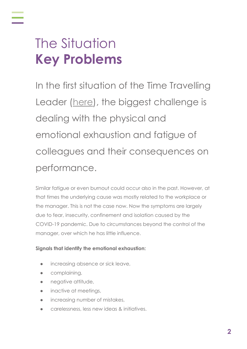## The Situation **Key Problems**

In the first situation of the Time Travelling Leader ([here](https://www.develor.com/wp-content/uploads/2021/05/Time-Travellling-Leaders-Challenge-1.pdf)), the biggest challenge is dealing with the physical and emotional exhaustion and fatigue of colleagues and their consequences on performance.

Similar fatigue or even burnout could occur also in the past. However, at that times the underlying cause was mostly related to the workplace or the manager. This is not the case now. Now the symptoms are largely due to fear, insecurity, confinement and isolation caused by the COVID-19 pandemic. Due to circumstances beyond the control of the manager, over which he has little influence.

#### **Signals that identify the emotional exhaustion:**

- increasing absence or sick leave,
- **•** complaining,
- negative attitude,
- inactive at meetings,
- increasing number of mistakes,
- carelessness, less new ideas & initiatives.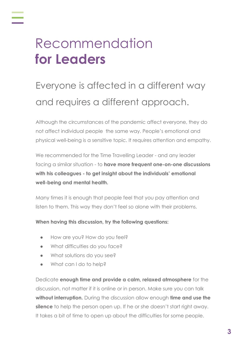## Recommendation **for Leaders**

#### Everyone is affected in a different way and requires a different approach.

Although the circumstances of the pandemic affect everyone, they do not affect individual people the same way. People's emotional and physical well-being is a sensitive topic. It requires attention and empathy.

We recommended for the Time Travelling Leader - and any leader facing a similar situation - to **have more frequent one-on-one discussions with his colleagues - to get insight about the individuals' emotional well-being and mental health.**

Many times it is enough that people feel that you pay attention and listen to them. This way they don't feel so alone with their problems.

#### **When having this discussion, try the following questions:**

- How are you? How do you feel?
- What difficulties do you face?
- What solutions do you see?
- What can I do to help?

Dedicate **enough time and provide a calm, relaxed atmosphere** for the discussion, not matter if it is online or in person. Make sure you can talk **without interruption.** During the discussion allow enough **time and use the silence** to help the person open up. If he or she doesn't start right away. It takes a bit of time to open up about the difficulties for some people.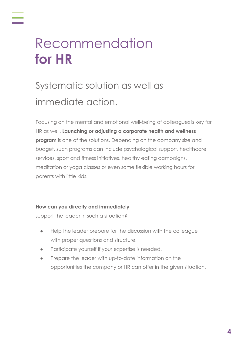## Recommendation **for HR**

#### Systematic solution as well as immediate action.

Focusing on the mental and emotional well-being of colleagues is key for HR as well. **Launching or adjusting a corporate health and wellness program** is one of the solutions. Depending on the company size and budget, such programs can include psychological support, healthcare services, sport and fitness initiatives, healthy eating campaigns, meditation or yoga classes or even some flexible working hours for parents with little kids.

#### **How can you directly and immediately**

support the leader in such a situation?

- Help the leader prepare for the discussion with the colleague with proper questions and structure.
- Participate yourself if your expertise is needed.
- Prepare the leader with up-to-date information on the opportunities the company or HR can offer in the given situation.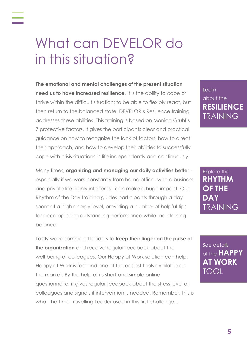### What can DEVELOR do in this situation?

**The emotional and mental challenges of the present situation need us to have increased resilience.** It is the ability to cope or thrive within the difficult situation; to be able to flexibly react, but then return to the balanced state. DEVELOR's Resilience training addresses these abilities. This training is based on Monica Gruhl's 7 protective factors. It gives the participants clear and practical guidance on how to recognize the lack of factors, how to direct their approach, and how to develop their abilities to successfully cope with crisis situations in life independently and continuously.

Many times, **organizing and managing our daily activities better** especially if we work constantly from home office, where business and private life highly interferes - can make a huge impact. Our Rhythm of the Day training guides participants through a day spent at a high energy level, providing a number of helpful tips for accomplishing outstanding performance while maintaining balance.

Lastly we recommend leaders to **keep their finger on the pulse of the organization** and receive regular feedback about the well-being of colleagues. Our Happy at Work solution can help. Happy at Work is fast and one of the easiest tools available on the market. By the help of its short and simple online questionnaire, it gives regular feedback about the stress level of colleagues and signals if intervention is needed. Remember, this is what the Time Travelling Leader used in this first challenge...

Learn about the **[RESILIENCE](https://www.develor.com/big-topics/resilience/?utm_source=capaign&utm_medium=solution&utm_campaign=ttl)** TRAINING

Explore the **RHYTHM OF THE DAY** [TRAINING](https://www.develor.com/big-topics/efficient-at-home/?utm_source=capaign&utm_medium=solution&utm_campaign=ttl)

See details of the **HAPPY [AT WORK](https://www.develor.com/big-topics/happy-at-work/?utm_source=capaign&utm_medium=solution&utm_campaign=ttl)** TOOL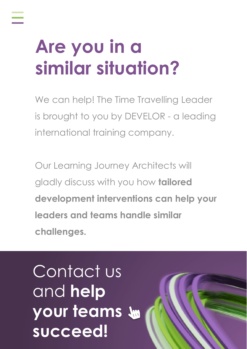# **Are you in a similar situation?**

We can help! The Time Travelling Leader is brought to you by DEVELOR - a leading international training company.

Our Learning Journey Architects will gladly discuss with you how **tailored development interventions can help your leaders and teams handle similar challenges.**

Contact us and **help [your teams](https://www.develor.com/timetravellingleader#contact)  succeed!**

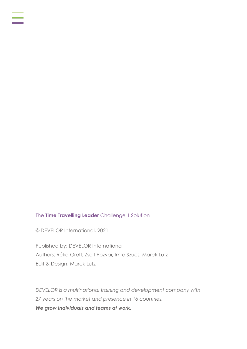#### The **Time Travelling Leader** Challenge 1 Solution

© DEVELOR International, 2021

Published by: DEVELOR International Authors: Réka Greff, Zsolt Pozvai, Imre Szucs, Marek Lutz Edit & Design: Marek Lutz

*DEVELOR is a multinational training and development company with 27 years on the market and presence in 16 countries. We grow individuals and teams at work.*